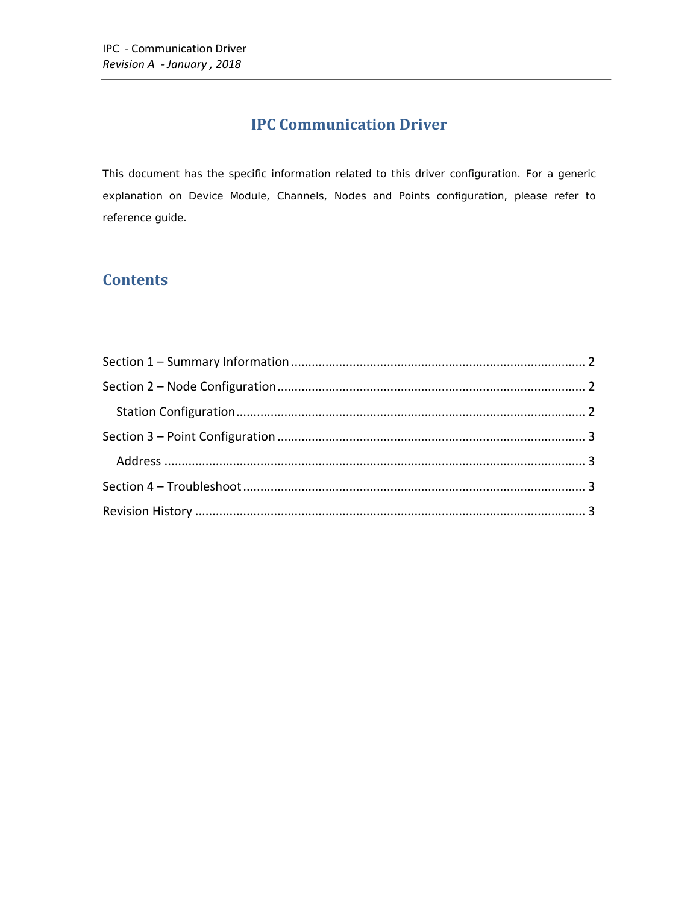# **IPC Communication Driver**

This document has the specific information related to this driver configuration. For a generic explanation on Device Module, Channels, Nodes and Points configuration, please refer to reference guide.

## **Contents**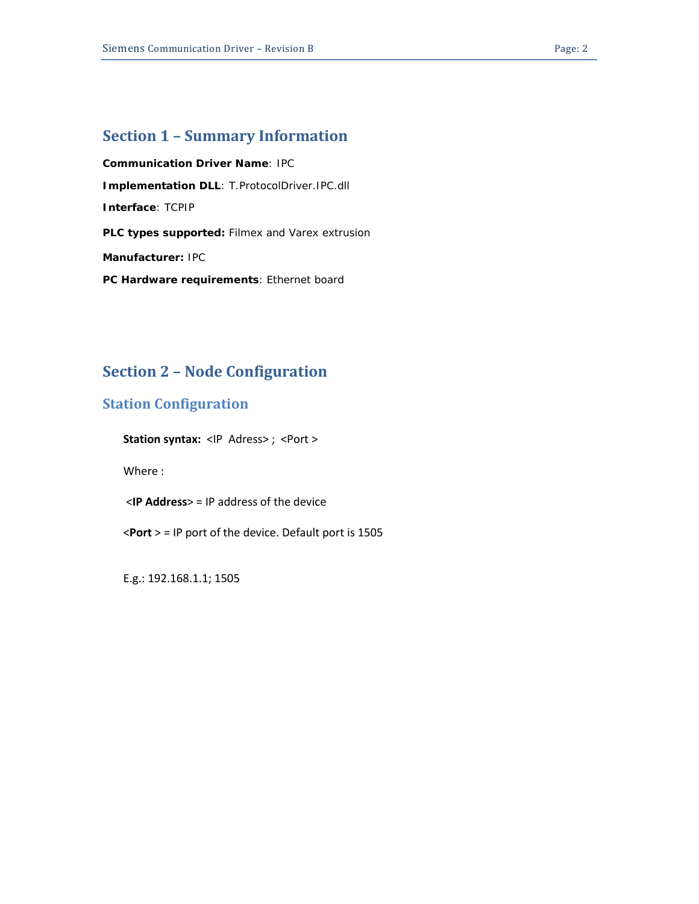### <span id="page-1-0"></span>**Section 1 – Summary Information**

**Communication Driver Name**: IPC **Implementation DLL**: T.ProtocolDriver.IPC.dll **Interface**: TCPIP **PLC types supported:** Filmex and Varex extrusion **Manufacturer:** IPC **PC Hardware requirements**: Ethernet board

# <span id="page-1-1"></span>**Section 2 – Node Configuration**

#### <span id="page-1-2"></span>**Station Configuration**

**Station syntax:** <IP Adress>; <Port >

Where :

<**IP Address**> = IP address of the device

<**Port** > = IP port of the device. Default port is 1505

E.g.: 192.168.1.1; 1505